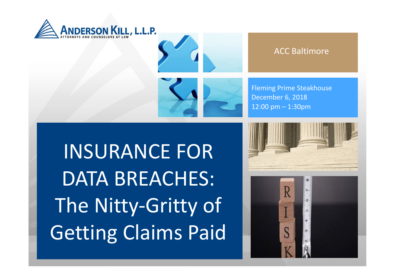



#### ACC Baltimore

Fleming Prime Steakhouse December 6, 2018 12:00 pm – 1:30pm

INSURANCE FOR DATA BREACHES: The Nitty-Gritty of Getting Claims Paid



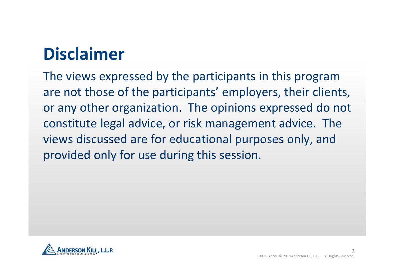## **Disclaimer**

The views expressed by the participants in this program are not those of the participants' employers, their clients, or any other organization. The opinions expressed do not constitute legal advice, or risk management advice. The views discussed are for educational purposes only, and provided only for use during this session.

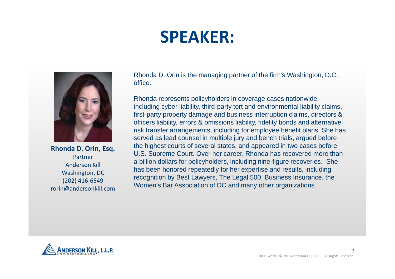## **SPEAKER:**



**Rhonda D. Orin, Esq.** Partner Anderson Kill Washington, DC (202) 416-6549 rorin@andersonkill.com Rhonda D. Orin is the managing partner of the firm's Washington, D.C. office.

Rhonda represents policyholders in coverage cases nationwide, including cyber liability, third-party tort and environmental liability claims, first-party property damage and business interruption claims, directors & officers liability, errors & omissions liability, fidelity bonds and alternative risk transfer arrangements, including for employee benefit plans. She has served as lead counsel in multiple jury and bench trials, argued before the highest courts of several states, and appeared in two cases before U.S. Supreme Court. Over her career, Rhonda has recovered more than a billion dollars for policyholders, including nine-figure recoveries. She has been honored repeatedly for her expertise and results, including recognition by Best Lawyers, The Legal 500, Business Insurance, the Women's Bar Association of DC and many other organizations.

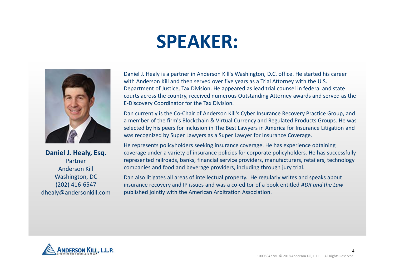## **SPEAKER:**



**Daniel J. Healy, Esq.** Partner Anderson Kill Washington, DC (202) 416-6547 dhealy@andersonkill.com Daniel J. Healy is a partner in Anderson Kill's Washington, D.C. office. He started his career with Anderson Kill and then served over five years as a Trial Attorney with the U.S. Department of Justice, Tax Division. He appeared as lead trial counsel in federal and state courts across the country, received numerous Outstanding Attorney awards and served as the E-Discovery Coordinator for the Tax Division.

Dan currently is the Co-Chair of Anderson Kill's Cyber Insurance Recovery Practice Group, and a member of the firm's Blockchain & Virtual Currency and Regulated Products Groups. He was selected by his peers for inclusion in The Best Lawyers in America for Insurance Litigation and was recognized by Super Lawyers as a Super Lawyer for Insurance Coverage.

He represents policyholders seeking insurance coverage. He has experience obtaining coverage under a variety of insurance policies for corporate policyholders. He has successfully represented railroads, banks, financial service providers, manufacturers, retailers, technology companies and food and beverage providers, including through jury trial.

Dan also litigates all areas of intellectual property. He regularly writes and speaks about insurance recovery and IP issues and was a co-editor of a book entitled *ADR and the Law* published jointly with the American Arbitration Association.

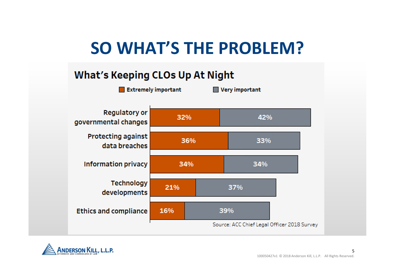## **SO WHAT'S THE PROBLEM?**

#### **What's Keeping CLOs Up At Night**



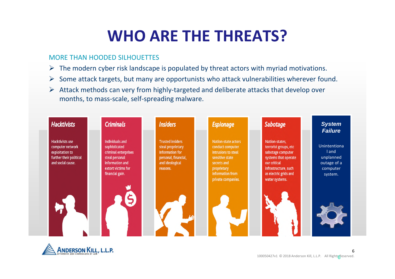### **WHO ARE THE THREATS?**

#### MORE THAN HOODED SILHOUETTES

- $\triangleright$  The modern cyber risk landscape is populated by threat actors with myriad motivations.
- $\triangleright$  Some attack targets, but many are opportunists who attack vulnerabilities wherever found.
- $\triangleright$  Attack methods can very from highly-targeted and deliberate attacks that develop over months, to mass-scale, self-spreading malware.



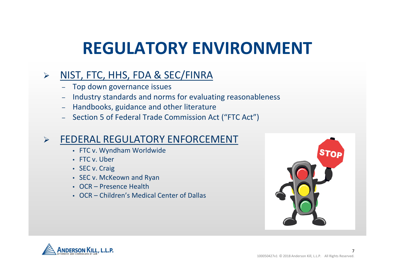## **REGULATORY ENVIRONMENT**

#### $\triangleright$  NIST, FTC, HHS, FDA & SEC/FINRA

- Top down governance issues
- Industry standards and norms for evaluating reasonableness
- Handbooks, guidance and other literature
- Section 5 of Federal Trade Commission Act ("FTC Act")

#### FEDERAL REGULATORY ENFORCEMENT

- FTC v. Wyndham Worldwide
- FTC v. Uber
- SEC v. Craig
- SEC v. McKeown and Ryan
- OCR Presence Health
- OCR Children's Medical Center of Dallas



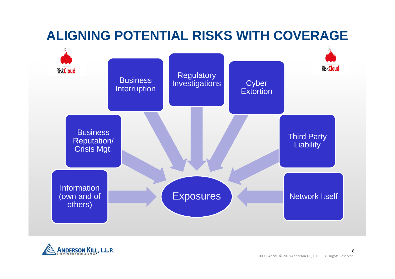### **ALIGNING POTENTIAL RISKS WITH COVERAGE**



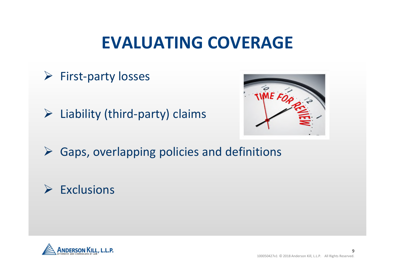## **EVALUATING COVERAGE**

- $\triangleright$  First-party losses
- $\triangleright$  Liability (third-party) claims



 $\triangleright$  Gaps, overlapping policies and definitions

### $\triangleright$  Exclusions

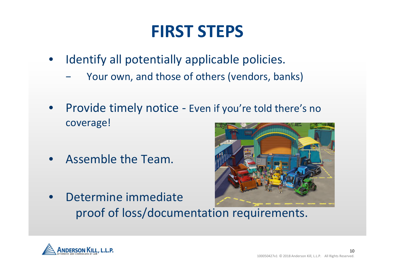## **FIRST STEPS**

- Identify all potentially applicable policies.
	- Your own, and those of others (vendors, banks)
- Provide timely notice Even if you're told there's no coverage!
- Assemble the Team.
- Determine immediate proof of loss/documentation requirements.



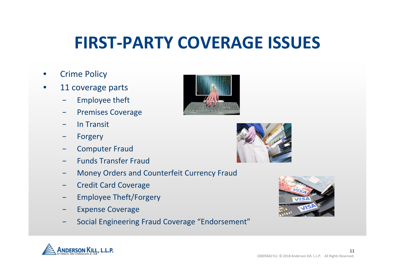## **FIRST-PARTY COVERAGE ISSUES**

- **Crime Policy**
- 11 coverage parts
	- Employee theft
	- − Premises Coverage
	- − In Transit
	- − Forgery
	- − Computer Fraud
	- − Funds Transfer Fraud
	- − Money Orders and Counterfeit Currency Fraud
	- − Credit Card Coverage
	- Employee Theft/Forgery
	- Expense Coverage
	- − Social Engineering Fraud Coverage "Endorsement"







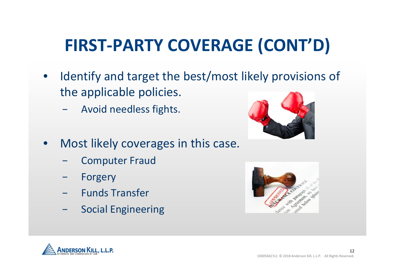# **FIRST-PARTY COVERAGE (CONT'D)**

- Identify and target the best/most likely provisions of the applicable policies.
	- − Avoid needless fights.
- Most likely coverages in this case.
	- − Computer Fraud
	- Forgery
	- − Funds Transfer
	- − Social Engineering





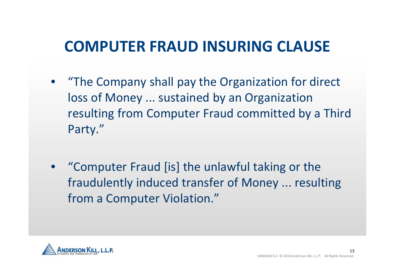### **COMPUTER FRAUD INSURING CLAUSE**

- "The Company shall pay the Organization for direct loss of Money ... sustained by an Organization resulting from Computer Fraud committed by a Third Party."
- "Computer Fraud [is] the unlawful taking or the fraudulently induced transfer of Money ... resulting from a Computer Violation."

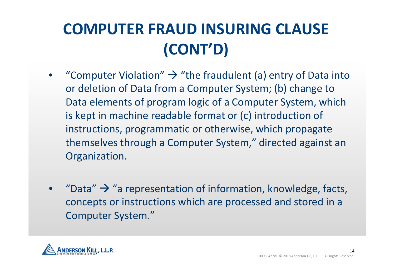## **COMPUTER FRAUD INSURING CLAUSE (CONT'D)**

- "Computer Violation"  $\rightarrow$  "the fraudulent (a) entry of Data into or deletion of Data from a Computer System; (b) change to Data elements of program logic of a Computer System, which is kept in machine readable format or (c) introduction of instructions, programmatic or otherwise, which propagate themselves through a Computer System," directed against an Organization.
- "Data"  $\rightarrow$  "a representation of information, knowledge, facts, concepts or instructions which are processed and stored in a Computer System."

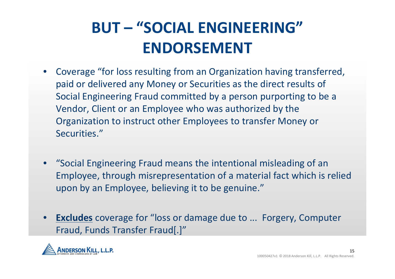## **BUT – "SOCIAL ENGINEERING" ENDORSEMENT**

- Coverage "for loss resulting from an Organization having transferred, paid or delivered any Money or Securities as the direct results of Social Engineering Fraud committed by a person purporting to be a Vendor, Client or an Employee who was authorized by the Organization to instruct other Employees to transfer Money or Securities."
- "Social Engineering Fraud means the intentional misleading of an Employee, through misrepresentation of a material fact which is relied upon by an Employee, believing it to be genuine."
- **Excludes** coverage for "loss or damage due to ... Forgery, Computer Fraud, Funds Transfer Fraud[.]"

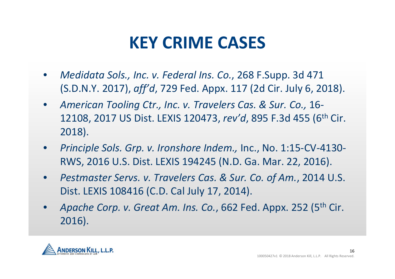## **KEY CRIME CASES**

- *Medidata Sols., Inc. v. Federal Ins. Co.*, 268 F.Supp. 3d 471 (S.D.N.Y. 2017), *aff'd*, 729 Fed. Appx. 117 (2d Cir. July 6, 2018).
- *American Tooling Ctr., Inc. v. Travelers Cas. & Sur. Co.,* 16- 12108, 2017 US Dist. LEXIS 120473, *rev'd*, 895 F.3d 455 (6th Cir. 2018).
- *Principle Sols. Grp. v. Ironshore Indem.,* Inc., No. 1:15-CV-4130- RWS, 2016 U.S. Dist. LEXIS 194245 (N.D. Ga. Mar. 22, 2016).
- *Pestmaster Servs. v. Travelers Cas. & Sur. Co. of Am.*, 2014 U.S. Dist. LEXIS 108416 (C.D. Cal July 17, 2014).
- Apache Corp. v. Great Am. Ins. Co., 662 Fed. Appx. 252 (5<sup>th</sup> Cir. 2016).

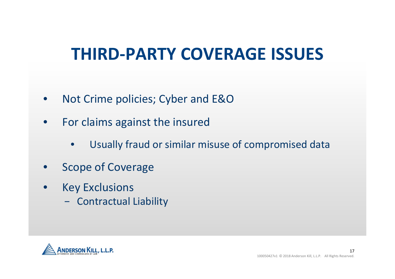## **THIRD-PARTY COVERAGE ISSUES**

- Not Crime policies; Cyber and E&O
- For claims against the insured
	- Usually fraud or similar misuse of compromised data
- Scope of Coverage
- **Key Exclusions** 
	- − Contractual Liability

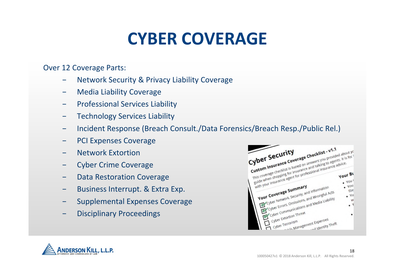## **CYBER COVERAGE**

Over 12 Coverage Parts:

- Network Security & Privacy Liability Coverage
- − Media Liability Coverage
- − Professional Services Liability
- − Technology Services Liability
- − Incident Response (Breach Consult./Data Forensics/Breach Resp./Public Rel.)
- PCI Expenses Coverage
- − Network Extortion
- − Cyber Crime Coverage
- − Data Restoration Coverage
- − Business Interrupt. & Extra Exp.
- − Supplemental Expenses Coverage
- Disciplinary Proceedings

| Custom Insurance Coverage Checklist - v1.1<br>Cyber Security<br>This coverage checklist is based on answers you provided about yo<br>suide when shopping for insurance and talking to agents. It is for |            |
|---------------------------------------------------------------------------------------------------------------------------------------------------------------------------------------------------------|------------|
| with your insurance agent for professional insurance advice.                                                                                                                                            |            |
|                                                                                                                                                                                                         |            |
|                                                                                                                                                                                                         |            |
|                                                                                                                                                                                                         | .404<br>机图 |
| Your Coverage Summary                                                                                                                                                                                   | .40<br>W   |
| Cyber Network, Security, and Information<br>Cyber Errors, Omissions, and Wrongful Acts<br>Cyber Communications and Media Liability                                                                      | $\bullet$  |
|                                                                                                                                                                                                         |            |
| Cyber Extortion Threat<br>with Management Expenses                                                                                                                                                      |            |
| Cyber Terrorism<br>theft utantity Theft                                                                                                                                                                 |            |

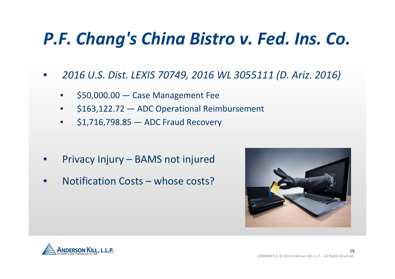# *P.F. Chang's China Bistro v. Fed. Ins. Co.*

- *2016 U.S. Dist. LEXIS 70749, 2016 WL 3055111 (D. Ariz. 2016)*
	- \$50,000.00 Case Management Fee
	- \$163,122.72 ADC Operational Reimbursement
	- \$1,716,798.85 ADC Fraud Recovery

- Privacy Injury BAMS not injured
- Notification Costs whose costs?



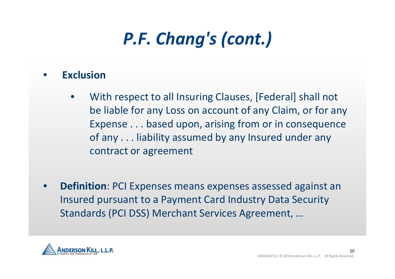# *P.F. Chang's (cont.)*

#### • **Exclusion**

- With respect to all Insuring Clauses, [Federal] shall not be liable for any Loss on account of any Claim, or for any Expense . . . based upon, arising from or in consequence of any . . . liability assumed by any Insured under any contract or agreement
- **Definition**: PCI Expenses means expenses assessed against an Insured pursuant to a Payment Card Industry Data Security Standards (PCI DSS) Merchant Services Agreement, …

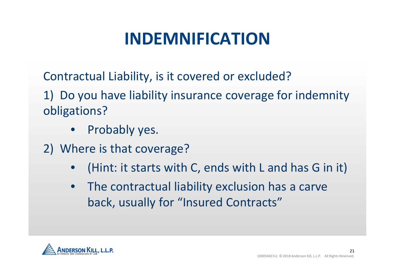## **INDEMNIFICATION**

Contractual Liability, is it covered or excluded?

1) Do you have liability insurance coverage for indemnity obligations?

- Probably yes.
- 2) Where is that coverage?
	- (Hint: it starts with C, ends with L and has G in it)
	- The contractual liability exclusion has a carve back, usually for "Insured Contracts"

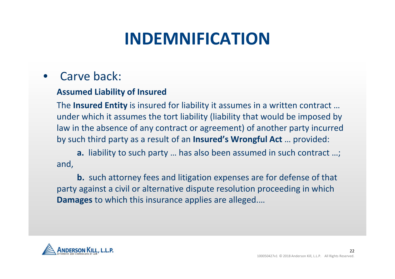## **INDEMNIFICATION**

### Carve back:

#### **Assumed Liability of Insured**

The **Insured Entity** is insured for liability it assumes in a written contract … under which it assumes the tort liability (liability that would be imposed by law in the absence of any contract or agreement) of another party incurred by such third party as a result of an **Insured's Wrongful Act** … provided:

**a.** liability to such party … has also been assumed in such contract …; and,

**b.** such attorney fees and litigation expenses are for defense of that party against a civil or alternative dispute resolution proceeding in which **Damages** to which this insurance applies are alleged.…

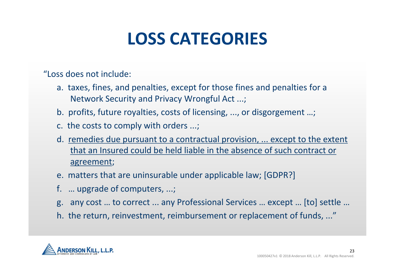## **LOSS CATEGORIES**

"Loss does not include:

- a. taxes, fines, and penalties, except for those fines and penalties for a Network Security and Privacy Wrongful Act ...;
- b. profits, future royalties, costs of licensing, ..., or disgorgement …;
- c. the costs to comply with orders ...;
- d. remedies due pursuant to a contractual provision, ... except to the extent that an Insured could be held liable in the absence of such contract or agreement;
- e. matters that are uninsurable under applicable law; [GDPR?]
- f. … upgrade of computers, ...;
- g. any cost … to correct ... any Professional Services … except … [to] settle …
- h. the return, reinvestment, reimbursement or replacement of funds, ..."

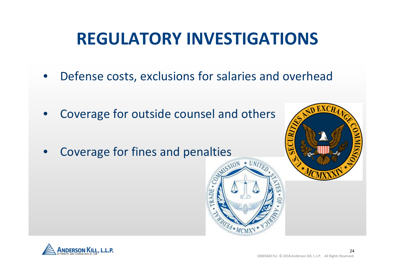## **REGULATORY INVESTIGATIONS**

- Defense costs, exclusions for salaries and overhead
- Coverage for outside counsel and others
- Coverage for fines and penalties



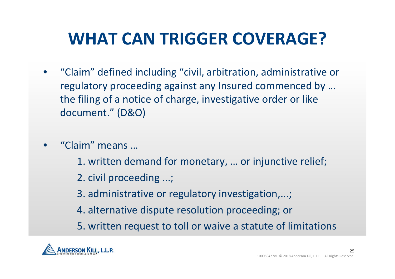# **WHAT CAN TRIGGER COVERAGE?**

- "Claim" defined including "civil, arbitration, administrative or regulatory proceeding against any Insured commenced by … the filing of a notice of charge, investigative order or like document." (D&O)
- "Claim" means …
	- 1. written demand for monetary, … or injunctive relief;
	- 2. civil proceeding ...;
	- 3. administrative or regulatory investigation,...;
	- 4. alternative dispute resolution proceeding; or
	- 5. written request to toll or waive a statute of limitations

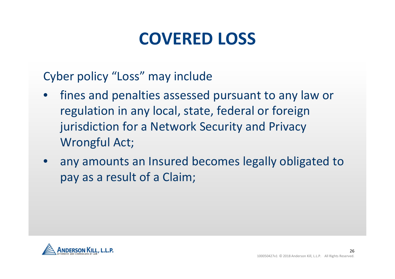## **COVERED LOSS**

Cyber policy "Loss" may include

- fines and penalties assessed pursuant to any law or regulation in any local, state, federal or foreign jurisdiction for a Network Security and Privacy Wrongful Act;
- any amounts an Insured becomes legally obligated to pay as a result of a Claim;

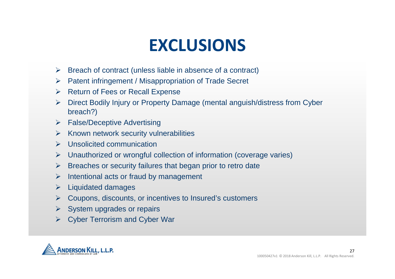## **EXCLUSIONS**

- $\triangleright$  Breach of contract (unless liable in absence of a contract)
- ▶ Patent infringement / Misappropriation of Trade Secret
- $\triangleright$  Return of Fees or Recall Expense
- Direct Bodily Injury or Property Damage (mental anguish/distress from Cyber breach?)
- $\triangleright$  False/Deceptive Advertising
- $\triangleright$  Known network security vulnerabilities
- $\triangleright$  Unsolicited communication
- $\triangleright$  Unauthorized or wrongful collection of information (coverage varies)
- $\triangleright$  Breaches or security failures that began prior to retro date
- $\triangleright$  Intentional acts or fraud by management
- $\triangleright$  Liquidated damages
- $\triangleright$  Coupons, discounts, or incentives to Insured's customers
- $\triangleright$  System upgrades or repairs
- Cyber Terrorism and Cyber War

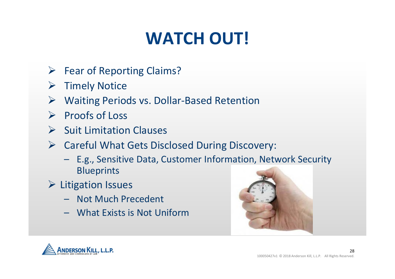# **WATCH OUT!**

- $\triangleright$  Fear of Reporting Claims?
- $\triangleright$  Timely Notice
- Waiting Periods vs. Dollar-Based Retention
- $\triangleright$  Proofs of Loss
- $\triangleright$  Suit Limitation Clauses
- $\triangleright$  Careful What Gets Disclosed During Discovery:
	- E.g., Sensitive Data, Customer Information, Network Security Blueprints
- $\triangleright$  Litigation Issues
	- Not Much Precedent
	- What Exists is Not Uniform



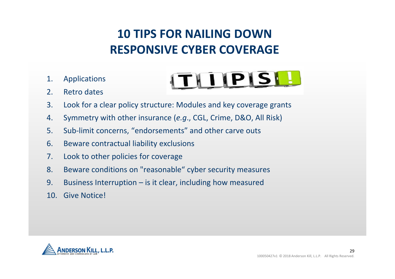### **10 TIPS FOR NAILING DOWN RESPONSIVE CYBER COVERAGE**

ITHIPISH

- 1. Applications
- 2. Retro dates



- 4. Symmetry with other insurance (*e.g*., CGL, Crime, D&O, All Risk)
- 5. Sub-limit concerns, "endorsements" and other carve outs
- 6. Beware contractual liability exclusions
- 7. Look to other policies for coverage
- 8. Beware conditions on "reasonable" cyber security measures
- 9. Business Interruption is it clear, including how measured
- 10. Give Notice!

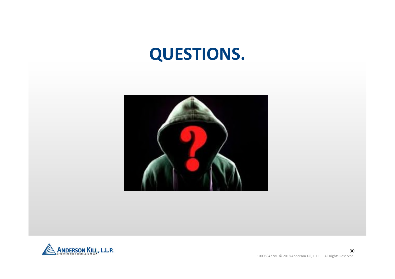## **QUESTIONS.**